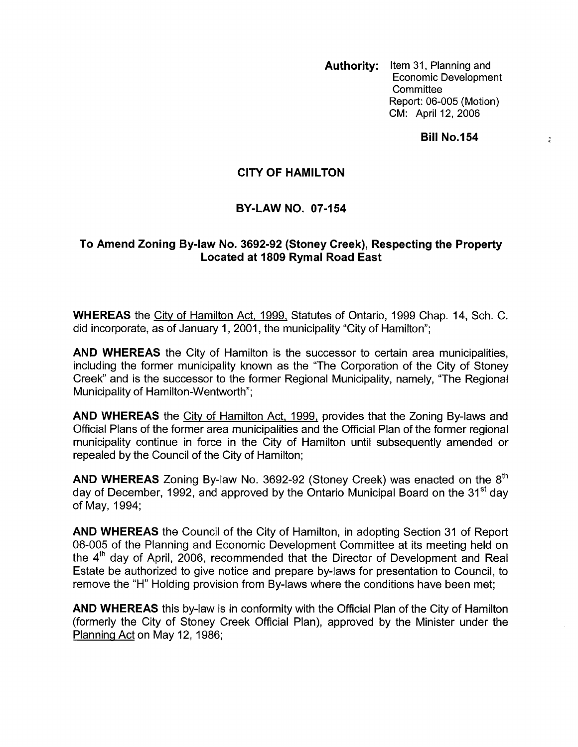**Authority:** Item 31, Planning and Economic Development **Committee** Report: 06-005 (Motion) CM: April 12, 2006

**Bill No.154** 

 $\frac{1}{2}$ 

## **CITY OF HAMILTON**

## **BY-LAW NO. 07-154**

## **To Amend Zoning Bylaw No. 3692-92 (Stoney Creek), Respecting the Property Located at 1809 Rymal Road East**

**WHEREAS** the City of Hamilton Act, 1999, Statutes of Ontario, 1999 Chap. 14, Sch. C. did incorporate, as of January 1, 2001, the municipality 'City of Hamilton";

**AND WHEREAS** the City of Hamilton is the successor to certain area municipalities, including the former municipality known as the "The Corporation of the City of Stoney Creek" and is the successor to the former Regional Municipality, namely, "The Regional Municipality of Hamilton-Wentworth";

**AND WHEREAS** the Citv of Hamilton Act, 1999, provides that the Zoning By-laws and Official Plans of the former area municipalities and the Official Plan of the former regional municipality continue in force in the City of Hamilton until subsequently amended or repealed by the Council of the City of Hamilton;

**AND WHEREAS** Zoning By-law No. 3692-92 (Stoney Creek) was enacted on the 8'h day of December, 1992, and approved by the Ontario Municipal Board on the 31<sup>st</sup> dav of May, 1994;

**AND WHEREAS** the Council of the City of Hamilton, in adopting Section 31 of Report 06-005 of the Planning and Economic Development Committee at its meeting held on the 4'h day of April, 2006, recommended that the Director of Development and Real Estate be authorized to give notice and prepare by-laws for presentation to Council, to remove the "H" Holding provision from By-laws where the conditions have been met;

**AND WHEREAS** this by-law is in conformity with the Official Plan of the City of Hamilton (formerly the City of Stoney Creek Official Plan), approved by the Minister under the Planning Act on May 12, 1986;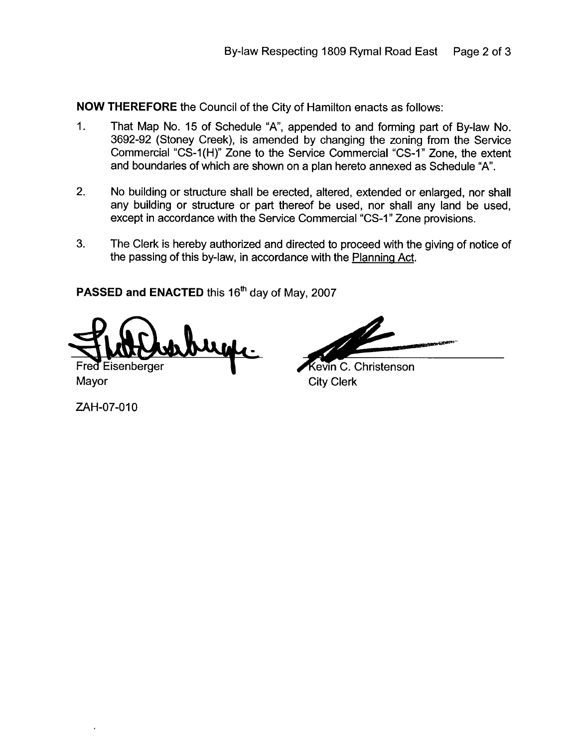**NOW THEREFORE** the Council of the City of Hamilton enacts as follows:

- 1. That Map No. 15 of Schedule "A', appended to and forming part of By-law No. 3692-92 (Stoney Creek), is amended by changing the zoning from the Service Commercial "CS-1 (H)" Zone to the Service Commercial "CS-1 **I'** Zone, the extent and boundaries of which are shown on a plan hereto annexed as Schedule "A".
- 2. No building or structure shall be erected, altered, extended or enlarged, nor shall any building or structure or part thereof be used, nor shall any land be used, except in accordance with the Service Commercial "CS-1 **I'** Zone provisions.
- **3.** The Clerk *is* hereby authorized and directed to proceed with the giving of notice of the passing of this by-law, in accordance with the Planning Act.

**PASSED and ENACTED** this 16'h day of May, 2007

**Jilb** Eisenberger

**Kevin C. Christenson** Mayor City Clerk

ZAH-07-010